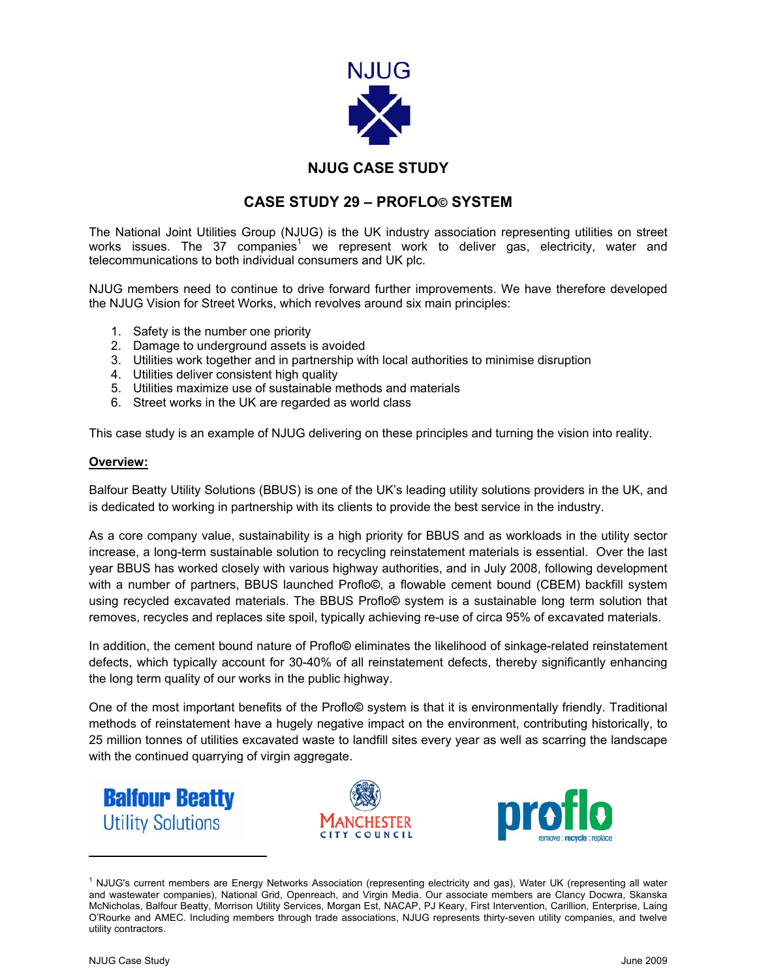

## **NJUG CASE STUDY**

## **CASE STUDY 29 – PROFLO© SYSTEM**

The National Joint Utilities Group (NJUG) is the UK industry association representing utilities on street works issues. The 37 companies<sup>1</sup> we represent work to deliver gas, electricity, water and telecommunications to both individual consumers and UK plc.

NJUG members need to continue to drive forward further improvements. We have therefore developed the NJUG Vision for Street Works, which revolves around six main principles:

- 1. Safety is the number one priority
- 2. Damage to underground assets is avoided
- 3. Utilities work together and in partnership with local authorities to minimise disruption
- 4. Utilities deliver consistent high quality
- 5. Utilities maximize use of sustainable methods and materials
- 6. Street works in the UK are regarded as world class

This case study is an example of NJUG delivering on these principles and turning the vision into reality.

## **Overview:**

Balfour Beatty Utility Solutions (BBUS) is one of the UK's leading utility solutions providers in the UK, and is dedicated to working in partnership with its clients to provide the best service in the industry.

As a core company value, sustainability is a high priority for BBUS and as workloads in the utility sector increase, a long-term sustainable solution to recycling reinstatement materials is essential. Over the last year BBUS has worked closely with various highway authorities, and in July 2008, following development with a number of partners, BBUS launched Proflo**©**, a flowable cement bound (CBEM) backfill system using recycled excavated materials. The BBUS Proflo**©** system is a sustainable long term solution that removes, recycles and replaces site spoil, typically achieving re-use of circa 95% of excavated materials.

In addition, the cement bound nature of Proflo**©** eliminates the likelihood of sinkage-related reinstatement defects, which typically account for 30-40% of all reinstatement defects, thereby significantly enhancing the long term quality of our works in the public highway.

One of the most important benefits of the Proflo**©** system is that it is environmentally friendly. Traditional methods of reinstatement have a hugely negative impact on the environment, contributing historically, to 25 million tonnes of utilities excavated waste to landfill sites every year as well as scarring the landscape with the continued quarrying of virgin aggregate.







<sup>&</sup>lt;sup>1</sup> NJUG's current members are Energy Networks Association (representing electricity and gas), Water UK (representing all water and wastewater companies), National Grid, Openreach, and Virgin Media. Our associate members are Clancy Docwra, Skanska McNicholas, Balfour Beatty, Morrison Utility Services, Morgan Est, NACAP, PJ Keary, First Intervention, Carillion, Enterprise, Laing O'Rourke and AMEC. Including members through trade associations, NJUG represents thirty-seven utility companies, and twelve utility contractors.

 $\overline{\phantom{a}}$